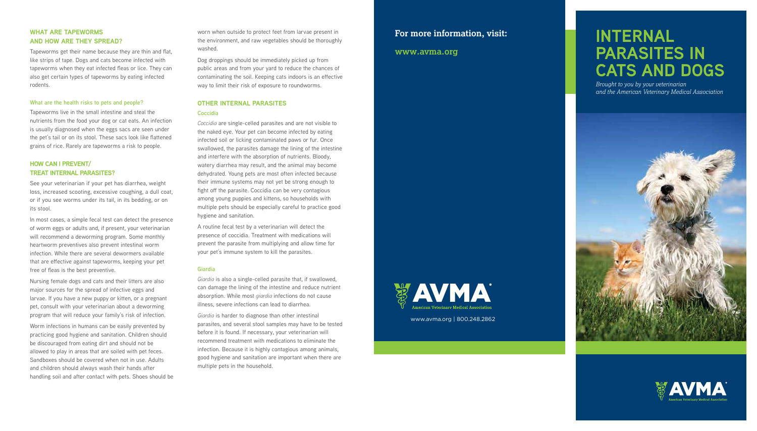# **INTERNAL PARASITES IN CATS AND DOGS**

*Brought to you by your veterinarian and the American Veterinary Medical Association*





# **For more information, visit:**

### **www.avma.org**



### **WHAT ARE TAPEWORMS AND HOW ARE THEY SPREAD?**

Tapeworms get their name because they are thin and flat, like strips of tape. Dogs and cats become infected with tapeworms when they eat infected fleas or lice. They can also get certain types of tapeworms by eating infected rodents.

### **What are the health risks to pets and people?**

Tapeworms live in the small intestine and steal the nutrients from the food your dog or cat eats. An infection is usually diagnosed when the eggs sacs are seen under the pet's tail or on its stool. These sacs look like flattened grains of rice. Rarely are tapeworms a risk to people.

### **HOW CAN I PREVENT/ TREAT INTERNAL PARASITES?**

See your veterinarian if your pet has diarrhea, weight loss, increased scooting, excessive coughing, a dull coat, or if you see worms under its tail, in its bedding, or on its stool.

In most cases, a simple fecal test can detect the presence of worm eggs or adults and, if present, your veterinarian will recommend a deworming program. Some monthly heartworm preventives also prevent intestinal worm infection. While there are several dewormers available that are effective against tapeworms, keeping your pet free of fleas is the best preventive.

Nursing female dogs and cats and their litters are also major sources for the spread of infective eggs and larvae. If you have a new puppy or kitten, or a pregnant pet, consult with your veterinarian about a deworming program that will reduce your family's risk of infection.

Worm infections in humans can be easily prevented by practicing good hygiene and sanitation. Children should be discouraged from eating dirt and should not be allowed to play in areas that are soiled with pet feces. Sandboxes should be covered when not in use. Adults and children should always wash their hands after handling soil and after contact with pets. Shoes should be worn when outside to protect feet from larvae present in the environment, and raw vegetables should be thoroughly washed.

Dog droppings should be immediately picked up from public areas and from your yard to reduce the chances of contaminating the soil. Keeping cats indoors is an effective way to limit their risk of exposure to roundworms.

# **OTHER INTERNAL PARASITES**

### **Coccidia**

*Coccidia* are single-celled parasites and are not visible to the naked eye. Your pet can become infected by eating infected soil or licking contaminated paws or fur. Once swallowed, the parasites damage the lining of the intestine and interfere with the absorption of nutrients. Bloody, watery diarrhea may result, and the animal may become dehydrated. Young pets are most often infected because their immune systems may not yet be strong enough to fight off the parasite. Coccidia can be very contagious among young puppies and kittens, so households with multiple pets should be especially careful to practice good hygiene and sanitation.

A routine fecal test by a veterinarian will detect the presence of coccidia. Treatment with medications will prevent the parasite from multiplying and allow time for your pet's immune system to kill the parasites.

### **Giardia**

*Giardia* is also a single-celled parasite that, if swallowed, can damage the lining of the intestine and reduce nutrient absorption. While most *giardia* infections do not cause illness, severe infections can lead to diarrhea.

*Giardia* is harder to diagnose than other intestinal parasites, and several stool samples may have to be tested before it is found. If necessary, your veterinarian will recommend treatment with medications to eliminate the infection. Because it is highly contagious among animals, good hygiene and sanitation are important when there are multiple pets in the household.

www.avma.org | 800.248.2862